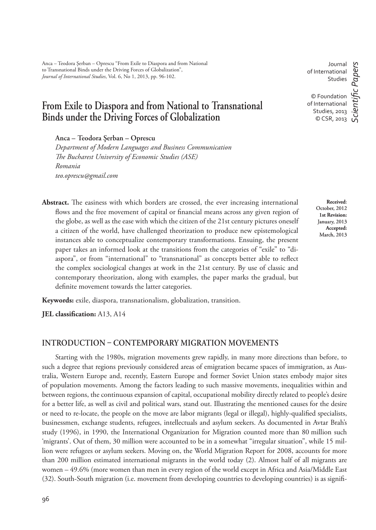# **From Exile to Diaspora and from National to Transnational Binds under the Driving Forces of Globalization**

**Anca – Teodora Şerban – Oprescu**

*Department of Modern Languages and Business Communication # e Bucharest University of Economic Studies (ASE) Romania teo.oprescu@gmail.com*

Abstract. The easiness with which borders are crossed, the ever increasing international flows and the free movement of capital or financial means across any given region of the globe, as well as the ease with which the citizen of the 21st century pictures oneself a citizen of the world, have challenged theorization to produce new epistemological instances able to conceptualize contemporary transformations. Ensuing, the present paper takes an informed look at the transitions from the categories of "exile" to "diaspora", or from "international" to "transnational" as concepts better able to reflect the complex sociological changes at work in the 21st century. By use of classic and contemporary theorization, along with examples, the paper marks the gradual, but definite movement towards the latter categories.

**Keywords:** exile, diaspora, transnationalism, globalization, transition.

**JEL classification:** A13, A14

### **INTRODUCTION CONTEMPORARY MIGRATION MOVEMENTS**

Starting with the 1980s, migration movements grew rapidly, in many more directions than before, to such a degree that regions previously considered areas of emigration became spaces of immigration, as Australia, Western Europe and, recently, Eastern Europe and former Soviet Union states embody major sites of population movements. Among the factors leading to such massive movements, inequalities within and between regions, the continuous expansion of capital, occupational mobility directly related to people's desire for a better life, as well as civil and political wars, stand out. Illustrating the mentioned causes for the desire or need to re-locate, the people on the move are labor migrants (legal or illegal), highly-qualified specialists, businessmen, exchange students, refugees, intellectuals and asylum seekers. As documented in Avtar Brah's study (1996), in 1990, the International Organization for Migration counted more than 80 million such 'migrants'. Out of them, 30 million were accounted to be in a somewhat "irregular situation", while 15 million were refugees or asylum seekers. Moving on, the World Migration Report for 2008, accounts for more than 200 million estimated international migrants in the world today (2). Almost half of all migrants are women – 49.6% (more women than men in every region of the world except in Africa and Asia/Middle East (32). South-South migration (i.e. movement from developing countries to developing countries) is as signifi -

**Received**: October, 2012 **1st Revision:**  January, 2013 **Accepted:**  March, 2013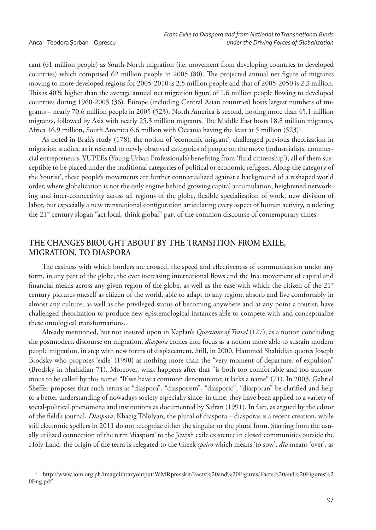cant (61 million people) as South-North migration (i.e. movement from developing countries to developed countries) which comprised 62 million people in 2005 (80). The projected annual net figure of migrants moving to more developed regions for 2005-2010 is 2.5 million people and that of 2005-2050 is 2.3 million. This is 40% higher than the average annual net migration figure of 1.6 million people flowing to developed countries during 1960-2005 (36). Europe (including Central Asian countries) hosts largest numbers of migrants – nearly 70.6 million people in 2005 (523). North America is second, hosting more than 45.1 million migrants, followed by Asia with nearly 25.3 million migrants. The Middle East hosts 18.8 million migrants, Africa 16.9 million, South America 6.6 million with Oceania having the least at 5 million (523)<sup>1</sup>.

As noted in Brah's study (178), the notion of 'economic migrant', challenged previous theorization in migration studies, as it referred to newly observed categories of people on the move (industrialists, commercial entrepreneurs, YUPEEs (Young Urban Professionals) benefiting from 'fluid citizenship'), all of them susceptible to be placed under the traditional categories of political or economic refugees. Along the category of the 'tourist', these people's movements are further contextualized against a background of a reshaped world order, where globalization is not the only engine behind growing capital accumulation, heightened networking and inter-connectivity across all regions of the globe, flexible specialization of work, new division of labor, but especially a new transnational configuration articulating every aspect of human activity, rendering the 21<sup>st</sup> century slogan "act local, think global" part of the common discourse of contemporary times.

# **THE CHANGES BROUGHT ABOUT BY THE TRANSITION FROM EXILE, MIGRATION, TO DIASPORA**

The easiness with which borders are crossed, the speed and effectiveness of communication under any form, in any part of the globe, the ever increasing international flows and the free movement of capital and financial means across any given region of the globe, as well as the ease with which the citizen of the 21<sup>st</sup> century pictures oneself as citizen of the world, able to adapt to any region, absorb and live comfortably in almost any culture, as well as the privileged status of becoming anywhere and at any point a tourist, have challenged theorization to produce new epistemological instances able to compete with and conceptualize these ontological transformations.

Already mentioned, but not insisted upon in Kaplan's *Questions of Travel* (127), as a notion concluding the postmodern discourse on migration, *diaspora* comes into focus as a notion more able to sustain modern people migration, in step with new forms of displacement. Still, in 2000, Hammed Shahidian quotes Joseph Brodsky who proposes 'exile' (1990) as nothing more than the "very moment of departure, of expulsion" (Brodsky in Shahidian 71). Moreover, what happens after that "is both too comfortable and too autonomous to be called by this name: "If we have a common denominator, it lacks a name" (71). In 2003, Gabriel Sheffer proposes that such terms as "diaspora", "diasporism", "diasporic", "diasporan" be clarified and help to a better understanding of nowadays society especially since, in time, they have been applied to a variety of social-political phenomena and institutions as documented by Safran (1991). In fact, as argued by the editor of the field's journal, *Diaspora*, Khacig Tölölyan, the plural of diaspora - diasporas is a recent creation, while still electronic spellers in 2011 do not recognize either the singular or the plural form. Starting from the usually utilized connection of the term 'diaspora' to the Jewish exile existence in closed communities outside the Holy Land, the origin of the term is relegated to the Greek *speiro* which means 'to sow', *dia* means 'over', as

<sup>1</sup>http://www.iom.org.ph/imagelibraryoutput/WMRpresskit/Facts%20and%20Figures/Facts%20and%20Figures%2 0Eng.pdf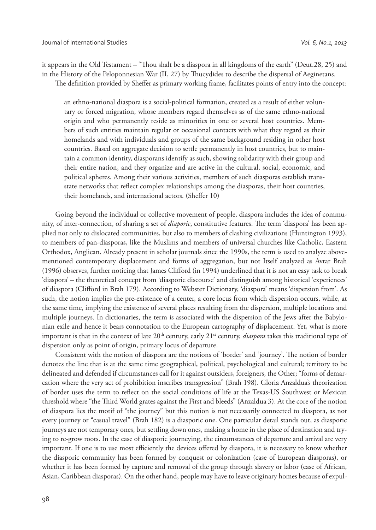it appears in the Old Testament – "Thou shalt be a diaspora in all kingdoms of the earth" (Deut.28, 25) and in the History of the Peloponnesian War (II, 27) by Thucydides to describe the dispersal of Aeginetans. The definition provided by Sheffer as primary working frame, facilitates points of entry into the concept:

an ethno-national diaspora is a social-political formation, created as a result of either voluntary or forced migration, whose members regard themselves as of the same ethno-national origin and who permanently reside as minorities in one or several host countries. Members of such entities maintain regular or occasional contacts with what they regard as their homelands and with individuals and groups of the same background residing in other host countries. Based on aggregate decision to settle permanently in host countries, but to maintain a common identity, diasporans identify as such, showing solidarity with their group and their entire nation, and they organize and are active in the cultural, social, economic, and political spheres. Among their various activities, members of such diasporas establish transstate networks that reflect complex relationships among the diasporas, their host countries, their homelands, and international actors. (Sheffer 10)

Going beyond the individual or collective movement of people, diaspora includes the idea of community, of inter-connection, of sharing a set of *diaporic*, constitutive features. The term 'diaspora' has been applied not only to dislocated communities, but also to members of clashing civilizations (Huntington 1993), to members of pan-diasporas, like the Muslims and members of universal churches like Catholic, Eastern Orthodox, Anglican. Already present in scholar journals since the 1990s, the term is used to analyze abovementioned contemporary displacement and forms of aggregation, but not Itself analyzed as Avtar Brah (1996) observes, further noticing that James Clifford (in 1994) underlined that it is not an easy task to break 'diaspora' *–* the theoretical concept from 'diasporic discourse' and distinguish among historical 'experiences' of diaspora (Clifford in Brah 179). According to Webster Dictionary, 'diaspora' means 'dispersion from'. As such, the notion implies the pre-existence of a center, a core locus from which dispersion occurs, while, at the same time, implying the existence of several places resulting from the dispersion, multiple locations and multiple journeys. In dictionaries, the term is associated with the dispersion of the Jews after the Babylonian exile and hence it bears connotation to the European cartography of displacement. Yet, what is more important is that in the context of late 20<sup>th</sup> century, early 21<sup>st</sup> century, *diaspora* takes this traditional type of dispersion only as point of origin, primary locus of departure.

Consistent with the notion of diaspora are the notions of 'border' and 'journey'. The notion of border denotes the line that is at the same time geographical, political, psychological and cultural; territory to be delineated and defended if circumstances call for it against outsiders, foreigners, the Other; "forms of demarcation where the very act of prohibition inscribes transgression" (Brah 198). Gloria Anzaldua's theorization of border uses the term to reflect on the social conditions of life at the Texas-US Southwest or Mexican threshold where "the Third World grates against the First and bleeds" (Anzaldua 3). At the core of the notion of diaspora lies the motif of "the journey" but this notion is not necessarily connected to diaspora, as not every journey or "casual travel" (Brah 182) is a diasporic one. One particular detail stands out, as diasporic journeys are not temporary ones, but settling down ones, making a home in the place of destination and trying to re-grow roots. In the case of diasporic journeying, the circumstances of departure and arrival are very important. If one is to use most efficiently the devices offered by diaspora, it is necessary to know whether the diasporic community has been formed by conquest or colonization (case of European diasporas), or whether it has been formed by capture and removal of the group through slavery or labor (case of African, Asian, Caribbean diasporas). On the other hand, people may have to leave originary homes because of expul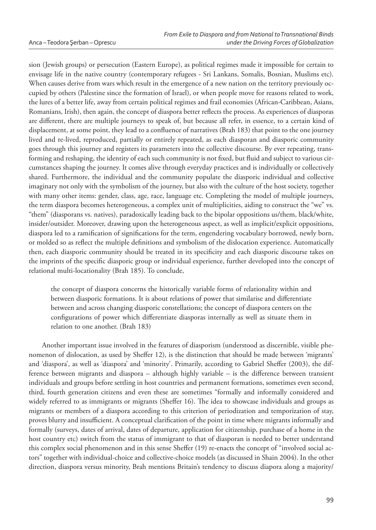sion (Jewish groups) or persecution (Eastern Europe), as political regimes made it impossible for certain to envisage life in the native country (contemporary refugees - Sri Lankans, Somalis, Bosnian, Muslims etc). When causes derive from wars which result in the emergence of a new nation on the territory previously occupied by others (Palestine since the formation of Israel), or when people move for reasons related to work, the lures of a better life, away from certain political regimes and frail economies (African-Caribbean, Asians, Romanians, Irish), then again, the concept of diaspora better reflects the process. As experiences of diasporas are different, there are multiple journeys to speak of, but because all refer, in essence, to a certain kind of displacement, at some point, they lead to a confluence of narratives (Brah 183) that point to the one journey lived and re-lived, reproduced, partially or entirely repeated, as each diasporan and diasporic community goes through this journey and registers its parameters into the collective discourse. By ever repeating, transforming and reshaping, the identity of each such community is not fixed, but fluid and subject to various circumstances shaping the journey. It comes alive through everyday practices and is individually or collectively shared. Furthermore, the individual and the community populate the diasporic individual and collective imaginary not only with the symbolism of the journey, but also with the culture of the host society, together with many other items: gender, class, age, race, language etc. Completing the model of multiple journeys, the term diaspora becomes heterogeneous, a complex unit of multiplicities, aiding to construct the "we" vs. "them" (diasporans vs. natives), paradoxically leading back to the bipolar oppositions us/them, black/white, insider/outsider. Moreover, drawing upon the heterogeneous aspect, as well as implicit/explicit oppositions, diaspora led to a ramification of significations for the term, engendering vocabulary borrowed, newly born, or molded so as reflect the multiple definitions and symbolism of the dislocation experience. Automatically then, each diasporic community should be treated in its specificity and each diasporic discourse takes on the imprints of the specific diasporic group or individual experience, further developed into the concept of relational multi-locationality (Brah 185). To conclude,

the concept of diaspora concerns the historically variable forms of relationality within and between diasporic formations. It is about relations of power that similarise and differentiate between and across changing diasporic constellations; the concept of diaspora centers on the configurations of power which differentiate diasporas internally as well as situate them in relation to one another. (Brah 183)

Another important issue involved in the features of diasporism (understood as discernible, visible phenomenon of dislocation, as used by Sheffer 12), is the distinction that should be made between 'migrants' and 'diaspora', as well as 'diaspora' and 'minority'. Primarily, according to Gabriel Sheffer (2003), the difference between migrants and diaspora – although highly variable – is the difference between transient individuals and groups before settling in host countries and permanent formations, sometimes even second, third, fourth generation citizens and even these are sometimes "formally and informally considered and widely referred to as immigrants or migrants (Sheffer 16). The idea to showcase individuals and groups as migrants or members of a diaspora according to this criterion of periodization and temporization of stay, proves blurry and insufficient. A conceptual clarification of the point in time where migrants informally and formally (surveys, dates of arrival, dates of departure, application for citizenship, purchase of a home in the host country etc) switch from the status of immigrant to that of diasporan is needed to better understand this complex social phenomenon and in this sense Sheffer (19) re-enacts the concept of "involved social actors" together with individual-choice and collective-choice models (as discussed in Shain 2004). In the other direction, diaspora versus minority, Brah mentions Britain's tendency to discuss diapora along a majority/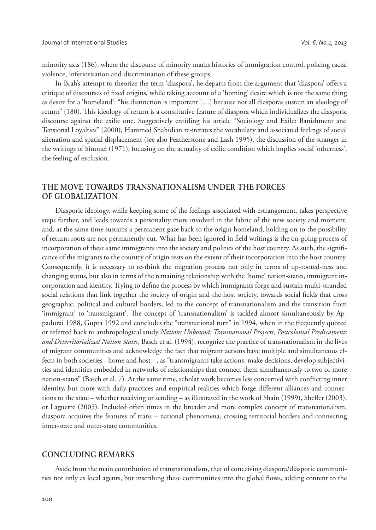minority axis (186), where the discourse of minority marks histories of immigration control, policing racial violence, inferiorisation and discrimination of these groups.

In Brah's attempt to theorize the term 'diaspora', he departs from the argument that 'diaspora' offers a critique of discourses of fixed origins, while taking account of a 'homing' desire which is not the same thing as desire for a 'homeland': "his distinction is important […] because not all diasporas sustain an ideology of return" (180). This ideology of return is a constitutive feature of diaspora which individualizes the diasporic discourse against the exilic one. Suggestively entitling his article "Sociology and Exile: Banishment and Tensional Loyalties" (2000), Hammed Shahidian re-iterates the vocabulary and associated feelings of social alienation and spatial displacement (see also Featherstone and Lash 1995), the discussion of the stranger in the writings of Simmel (1971), focusing on the actuality of exilic condition which implies social 'otherness', the feeling of exclusion.

## **THE MOVE TOWARDS TRANSNATIONALISM UNDER THE FORCES OF GLOBALIZATION**

Diasporic ideology, while keeping some of the feelings associated with estrangement, takes perspective steps further, and leads towards a personality more involved in the fabric of the new society and moment, and, at the same time sustains a permanent gaze back to the origin homeland, holding on to the possibility of return; roots are not permanently cut. What has been ignored in field writings is the on-going process of incorporation of these same immigrants into the society and politics of the host country. As such, the significance of the migrants to the country of origin rests on the extent of their incorporation into the host country. Consequently, it is necessary to re-think the migration process not only in terms of up-rooted-ness and changing status, but also in terms of the remaining relationship with the 'home' nation-states, immigrant incorporation and identity. Trying to define the process by which immigrants forge and sustain multi-stranded social relations that link together the society of origin and the host society, towards social fields that cross geographic, political and cultural borders, led to the concept of transnationalism and the transition from 'immigrant' to 'transmigrant'. The concept of 'transnationalism' is tackled almost simultaneously by Appadurai 1988, Gupta 1992 and concludes the "transnational turn" in 1994, when in the frequently quoted or referred back to anthropological study *Nations Unbound: Transnational Projects, Postcolonial Predicaments and Deterritorialized Nation States*, Basch et al. (1994), recognize the practice of transnationalism in the lives of migrant communities and acknowledge the fact that migrant actions have multiple and simultaneous effects in both societies - home and host - , as "transmigrants take actions, make decisions, develop subjectivities and identities embedded in networks of relationships that connect them simultaneously to two or more nation-states" (Basch et al. 7). At the same time, scholar work becomes less concerned with conflicting inner identity, but more with daily practices and empirical realities which forge different alliances and connections to the state – whether receiving or sending – as illustrated in the work of Shain (1999), Sheffer (2003), or Laguerre (2005). Included often times in the broader and more complex concept of transnationalism, diaspora acquires the features of trans – national phenomena, crossing territorial borders and connecting inner-state and outer-state communities.

#### **CONCLUDING REMARKS**

Aside from the main contribution of transnationalism, that of conceiving diaspora/diasporic communities not only as local agents, but inscribing these communities into the global flows, adding content to the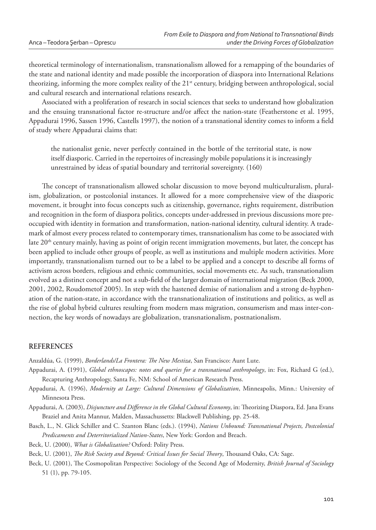theoretical terminology of internationalism, transnationalism allowed for a remapping of the boundaries of the state and national identity and made possible the incorporation of diaspora into International Relations theorizing, informing the more complex reality of the 21<sup>st</sup> century, bridging between anthropological, social and cultural research and international relations research.

Associated with a proliferation of research in social sciences that seeks to understand how globalization and the ensuing transnational factor re-structure and/or affect the nation-state (Featherstone et al. 1995, Appadurai 1996, Sassen 1996, Castells 1997), the notion of a transnational identity comes to inform a field of study where Appadurai claims that:

the nationalist genie, never perfectly contained in the bottle of the territorial state, is now itself diasporic. Carried in the repertoires of increasingly mobile populations it is increasingly unrestrained by ideas of spatial boundary and territorial sovereignty. (160)

The concept of transnationalism allowed scholar discussion to move beyond multiculturalism, pluralism, globalization, or postcolonial instances. It allowed for a more comprehensive view of the diasporic movement, it brought into focus concepts such as citizenship, governance, rights requirement, distribution and recognition in the form of diaspora politics, concepts under-addressed in previous discussions more preoccupied with identity in formation and transformation, nation-national identity, cultural identity. A trademark of almost every process related to contemporary times, transnationalism has come to be associated with late  $20<sup>th</sup>$  century mainly, having as point of origin recent immigration movements, but later, the concept has been applied to include other groups of people, as well as institutions and multiple modern activities. More importantly, transnationalism turned out to be a label to be applied and a concept to describe all forms of activism across borders, religious and ethnic communities, social movements etc. As such, transnationalism evolved as a distinct concept and not a sub-field of the larger domain of international migration (Beck 2000, 2001, 2002, Roudometof 2005). In step with the hastened demise of nationalism and a strong de-hyphenation of the nation-state, in accordance with the transnationalization of institutions and politics, as well as the rise of global hybrid cultures resulting from modern mass migration, consumerism and mass inter-connection, the key words of nowadays are globalization, transnationalism, postnationalism.

#### **REFERENCES**

Anzaldúa, G. (1999), *Borderlands/La Frontera: The New Mestiza*, San Francisco: Aunt Lute.

- Appadurai, A. **(**1991), *Global ethnoscapes: notes and queries for a transnational anthropology*, in: Fox, Richard G (ed.), Recapturing Anthropology, Santa Fe, NM: School of American Research Press.
- Appadurai, A. (1996), *Modernity at Large: Cultural Dimensions of Globalization*, Minneapolis, Minn.: University of Minnesota Press.
- Appadurai, A. (2003), *Disjuncture and Difference in the Global Cultural Economy*, in: Theorizing Diaspora, Ed. Jana Evans Braziel and Anita Mannur, Malden, Massachussetts: Blackwell Publishing, pp. 25-48.
- Basch, L., N. Glick Schiller and C. Szanton Blanc (eds.). (1994), *Nations Unbound: Transnational Projects, Postcolonial Predicaments and Deterritorialized Nation-States*, New York: Gordon and Breach.
- Beck, U. (2000), *What is Globalization?* Oxford: Polity Press.

Beck, U. (2001), *The Risk Society and Beyond: Critical Issues for Social Theory*, Thousand Oaks, CA: Sage.

Beck, U. (2001), The Cosmopolitan Perspective: Sociology of the Second Age of Modernity, *British Journal of Sociology* 51 (1), pp. 79-105.